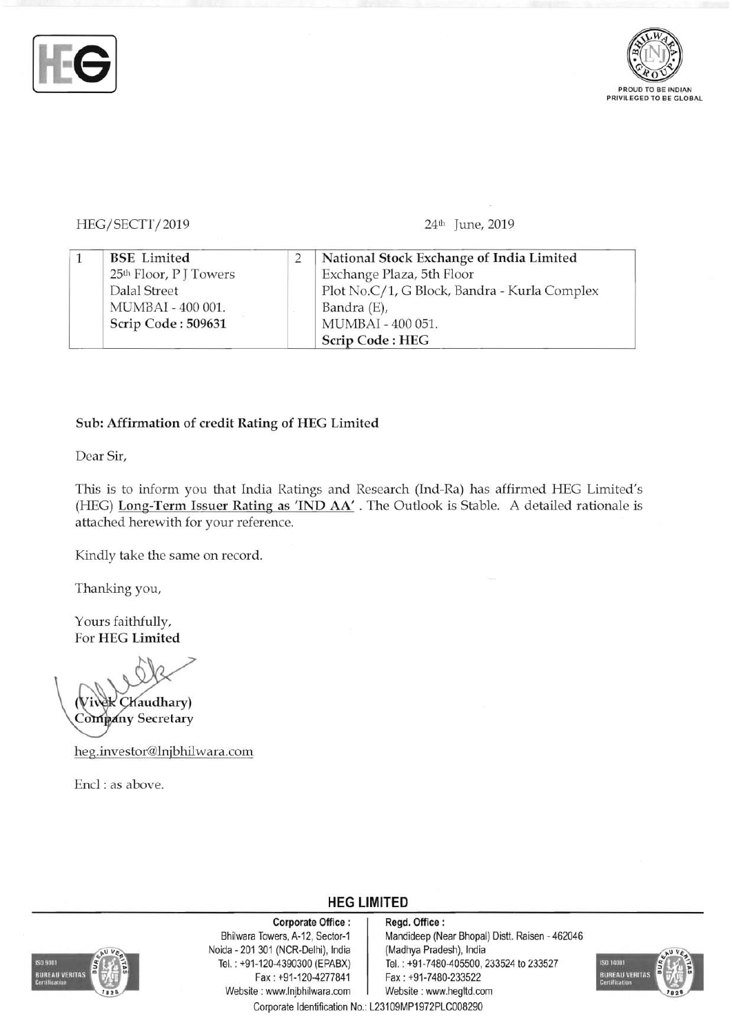



HEG/SECTT/2019 24th June, 2019

|  | <b>BSE</b> Limited                 | National Stock Exchange of India Limited     |
|--|------------------------------------|----------------------------------------------|
|  | 25 <sup>th</sup> Floor, P J Towers | Exchange Plaza, 5th Floor                    |
|  | Dalal Street                       | Plot No.C/1, G Block, Bandra - Kurla Complex |
|  | MUMBAI - 400 001.                  | Bandra (E),                                  |
|  | Scrip Code: 509631                 | MUMBAI - 400 051.                            |
|  |                                    | <b>Scrip Code: HEG</b>                       |

## Sub: Affirmation of credit Rating of HEG Limited

Dear Sir,

This is to inform you that India Ratings and Research (Ind-Ra) has affirmed HEG Limited's (HEG) Long-Term Issuer Rating as 'IND AA' . The Outlook is Stable. A detailed rationale is attached herewith for your reference.

**HEG LIMITED** 

Kindly take the same on record.

Thanking you,

Yours faithfully, For HEG Limited

Chaudhary) Company Secretary

heg.investor@lnjbhilwara.com

Encl: as above.



Corporate Office: | Regd. Office: Noida - 201 301 (NCR-Delhi), India<br>Tel.: +91-120-4390300 (EPABX) Fax : +91-120-4277841 Fax: +91-7480-233522 Website : www.lnjbhilwara.com | Website : www.hegltd.com

Bhilwara Towers, A-12, Sector-1 Mandideep (Near Bhopal) Distt. Raisen - 462046<br>
ida - 201 301 (NCR-Delhi), India (Madhya Pradesh), India Tel. : +91-7480-405500, 233524 to 233527 Corporate Identification No.: L23109MP1972PLC008290

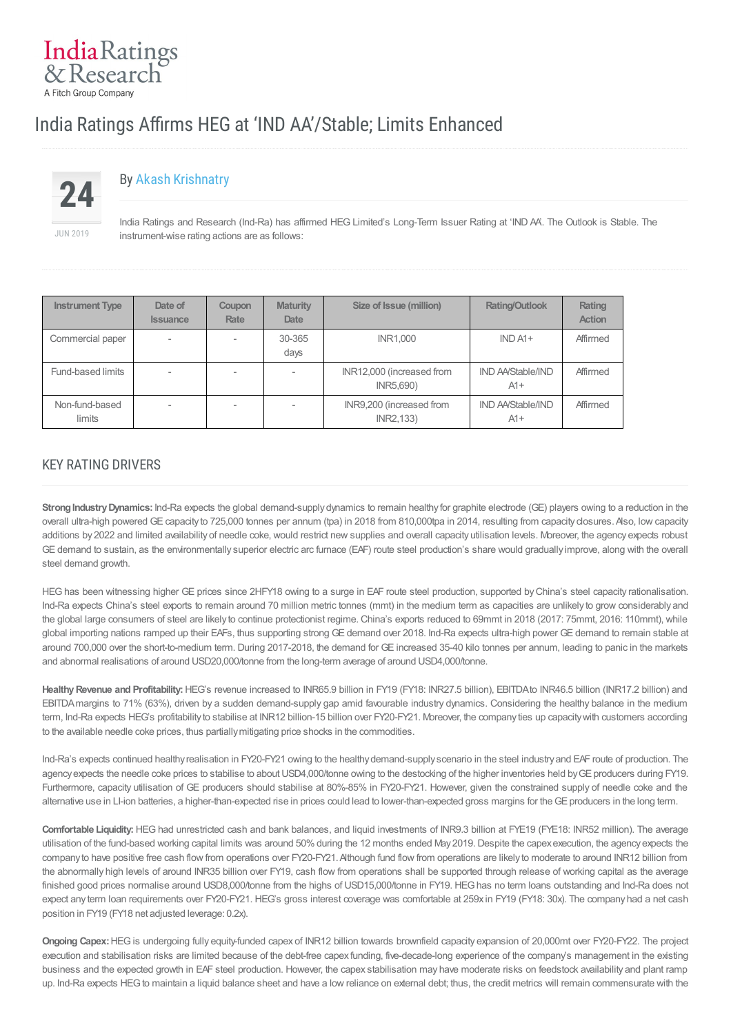# IndiaRatings & Research A Fitch Group Company

# India Ratings Affirms HEG at 'IND AA'/Stable; Limits Enhanced



# By Akash [Krishnatry](/Indra/Analyst/Index?analystID=52&analystName=Akash Krishnatry)

India Ratings and Research (Ind-Ra) has affirmed HEG Limited's Long-Term Issuer Rating at 'IND AA'. The Outlook is Stable. The instrument-wise rating actions are as follows:

| <b>Instrument Type</b>   | Date of<br><b>Issuance</b> | <b>Coupon</b><br>Rate | <b>Maturity</b><br><b>Date</b> | Size of Issue (million)                | <b>Rating/Outlook</b>             | Rating<br><b>Action</b> |
|--------------------------|----------------------------|-----------------------|--------------------------------|----------------------------------------|-----------------------------------|-------------------------|
| Commercial paper         | $\overline{\phantom{a}}$   |                       | 30-365<br>days                 | <b>INR1.000</b>                        | $INDA1+$                          | Affirmed                |
| Fund-based limits        |                            |                       | $\overline{\phantom{a}}$       | INR12,000 (increased from<br>INR5,690) | <b>IND AA/Stable/IND</b><br>$A1+$ | Affirmed                |
| Non-fund-based<br>limits |                            |                       | $\sim$                         | INR9,200 (increased from<br>INR2,133)  | <b>IND AA/Stable/IND</b><br>$A1+$ | Affirmed                |

## KEY RATING DRIVERS

**Strong Industry Dynamics:** Ind-Ra expects the global demand-supply dynamics to remain healthy for graphite electrode (GE) players owing to a reduction in the overall ultra-high powered GE capacity to 725,000 tonnes per annum (tpa) in 2018 from 810,000tpa in 2014, resulting from capacity closures. Also, low capacity additions by 2022 and limited availability of needle coke, would restrict new supplies and overall capacity utilisation levels. Moreover, the agency expects robust GE demand to sustain, as the environmentally superior electric arc furnace (EAF) route steel production's share would gradually improve, along with the overall steel demand growth.

HEGhas been witnessing higher GE prices since 2HFY18 owing to a surge in EAF route steel production, supported byChina's steel capacity rationalisation. Ind-Ra expects China's steel exports to remain around 70 million metric tonnes (mmt) in the medium term as capacities are unlikely to grow considerably and the global large consumers of steel are likely to continue protectionist regime. China's exports reduced to 69mmt in 2018 (2017: 75mmt, 2016: 110mmt), while global importing nations ramped up their EAFs, thus supporting strong GE demand over 2018. Ind-Ra expects ultra-high power GE demand to remain stable at around 700,000 over the short-to-medium term. During 2017-2018, the demand for GE increased 35-40 kilo tonnes per annum, leading to panic in the markets and abnormal realisations of around USD20,000/tonne from the long-term average of around USD4,000/tonne.

Healthy Revenue and Profitability: HEG's revenue increased to INR65.9 billion in FY19 (FY18: INR27.5 billion), EBITDAto INR46.5 billion (INR17.2 billion) and EBITDAmargins to 71% (63%), driven by a sudden demand-supply gap amid favourable industry dynamics. Considering the healthy balance in the medium term, Ind-Ra expects HEG's profitability to stabilise at INR12 billion-15 billion over FY20-FY21. Moreover, the company ties up capacity with customers according to the available needle coke prices, thus partiallymitigating price shocks in the commodities.

Ind-Ra's expects continued healthy realisation in FY20-FY21 owing to the healthy demand-supply scenario in the steel industry and EAF route of production. The agency expects the needle coke prices to stabilise to about USD4,000/tonne owing to the destocking of the higher inventories held by GE producers during FY19. Furthermore, capacity utilisation of GE producers should stabilise at 80%-85% in FY20-FY21. However, given the constrained supply of needle coke and the alternative use in LI-ion batteries, a higher-than-expected rise in prices could lead to lower-than-expected gross margins for the GE producers in the long term.

**Comfortable Liquidity:** HEG had unrestricted cash and bank balances, and liquid investments of INR9.3 billion at FYE19 (FYE18: INR52 million). The average utilisation of the fund-based working capital limits was around 50% during the 12 months ended May 2019. Despite the capex execution, the agency expects the company to have positive free cash flow from operations over FY20-FY21.Although fund flow from operations are likely to moderate to around INR12 billion from the abnormally high levels of around INR35 billion over FY19, cash flow from operations shall be supported through release of working capital as the average finished good prices normalise around USD8,000/tonne from the highs of USD15,000/tonne in FY19. HEG has no term loans outstanding and Ind-Ra does not expect any term loan requirements over FY20-FY21. HEG's gross interest coverage was comfortable at 259x in FY19 (FY18: 30x). The company had a net cash position in FY19 (FY18 net adjusted leverage: 0.2x).

**Ongoing Capex:**HEGis undergoing fully equity-funded capex of INR12 billion towards brownfield capacity expansion of 20,000mt over FY20-FY22. The project execution and stabilisation risks are limited because of the debt-free capex funding, five-decade-long experience of the company's management in the existing business and the expected growth in EAF steel production. However, the capex stabilisation may have moderate risks on feedstock availability and plant ramp up. Ind-Ra expects HEG to maintain a liquid balance sheet and have a low reliance on external debt; thus, the credit metrics will remain commensurate with the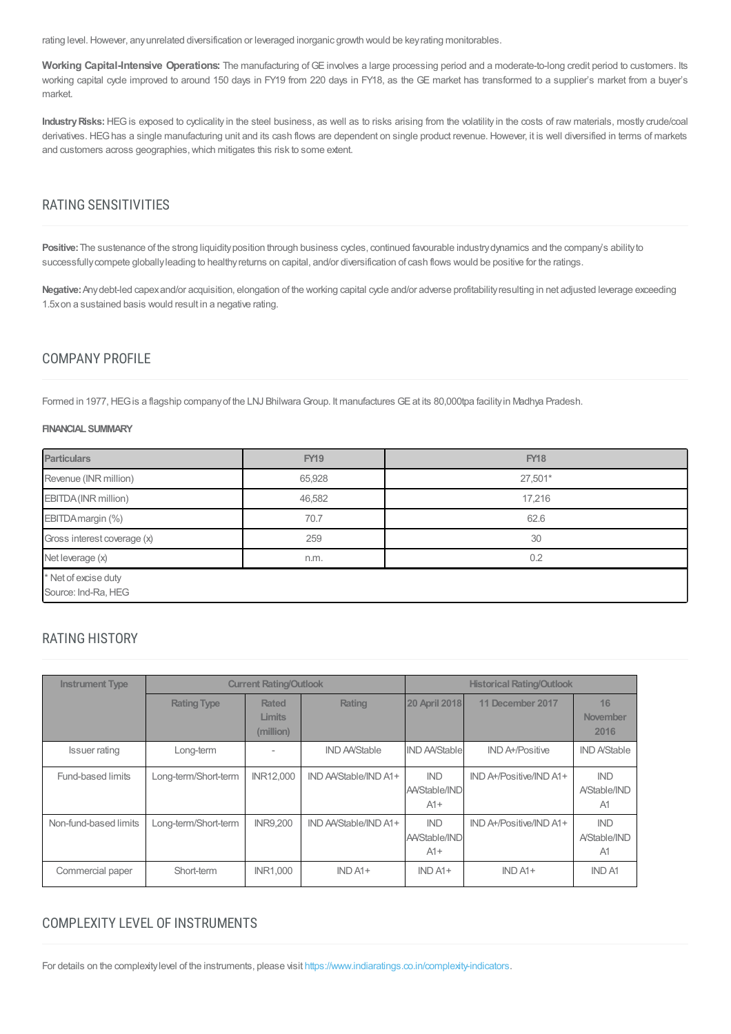rating level. However, any unrelated diversification or leveraged inorganic growth would be key rating monitorables.

**Working Capital-Intensive Operations:** The manufacturing of GE involves a large processing period and a moderate-to-long credit period to customers. Its working capital cycle improved to around 150 days in FY19 from 220 days in FY18, as the GE market has transformed to a supplier's market from a buyer's market.

Industry Risks: HEG is exposed to cyclicality in the steel business, as well as to risks arising from the volatility in the costs of raw materials, mostly crude/coal derivatives. HEGhas a single manufacturing unit and its cash flows are dependent on single product revenue. However, it is well diversified in terms of markets and customers across geographies, which mitigates this risk to some extent.

## RATING SENSITIVITIES

Positive: The sustenance of the strong liquidity position through business cycles, continued favourable industry dynamics and the company's ability to successfully compete globally leading to healthy returns on capital, and/or diversification of cash flows would be positive for the ratings.

Negative: Any debt-led capex and/or acquisition, elongation of the working capital cycle and/or adverse profitability resulting in net adjusted leverage exceeding 1.5xon a sustained basis would result in a negative rating.

### COMPANY PROFILE

Formed in 1977, HEG is a flagship company of the LNJ Bhilwara Group. It manufactures GE at its 80,000tpa facility in Madhya Pradesh.

#### **FINANCIALSUMMARY**

| <b>Particulars</b>                          | <b>FY19</b> | <b>FY18</b> |  |  |  |
|---------------------------------------------|-------------|-------------|--|--|--|
| Revenue (INR million)                       | 65,928      | 27,501*     |  |  |  |
| EBITDA (INR million)                        | 46,582      | 17,216      |  |  |  |
| EBITDA margin (%)                           | 70.7        | 62.6        |  |  |  |
| Gross interest coverage (x)                 | 259         | 30          |  |  |  |
| Net leverage (x)                            | n.m.        | 0.2         |  |  |  |
| * Net of excise duty<br>Source: Ind-Ra, HEG |             |             |  |  |  |

## RATING HISTORY

| <b>Instrument Type</b> |                      | <b>Current Rating/Outlook</b>       |                       | <b>Historical Rating/Outlook</b>            |                         |                                  |
|------------------------|----------------------|-------------------------------------|-----------------------|---------------------------------------------|-------------------------|----------------------------------|
|                        | <b>Rating Type</b>   | <b>Rated</b><br>Limits<br>(million) | Rating                | <b>20 April 2018</b>                        | 11 December 2017        | 16<br>November<br>2016           |
| <b>Issuer rating</b>   | Long-term            |                                     | <b>IND AA/Stable</b>  | <b>IND AA/Stable</b>                        | <b>IND A+/Positive</b>  | <b>IND A/Stable</b>              |
| Fund-based limits      | Long-term/Short-term | <b>INR12,000</b>                    | IND AA/Stable/IND A1+ | <b>IND</b><br><b>AA/Stable/IND</b><br>$A1+$ | IND A+/Positive/IND A1+ | <b>IND</b><br>A/Stable/IND<br>A1 |
| Non-fund-based limits  | Long-term/Short-term | <b>INR9.200</b>                     | IND AA/Stable/IND A1+ | <b>IND</b><br><b>AA/Stable/IND</b><br>$A1+$ | IND A+/Positive/IND A1+ | <b>IND</b><br>A/Stable/IND<br>A1 |
| Commercial paper       | Short-term           | <b>INR1.000</b>                     | $IND A1+$             | $INDA1+$                                    | $IND A1+$               | <b>IND A1</b>                    |

## COMPLEXITY LEVEL OF INSTRUMENTS

For details on the complexity level of the instruments, please visit <https://www.indiaratings.co.in/complexity-indicators>.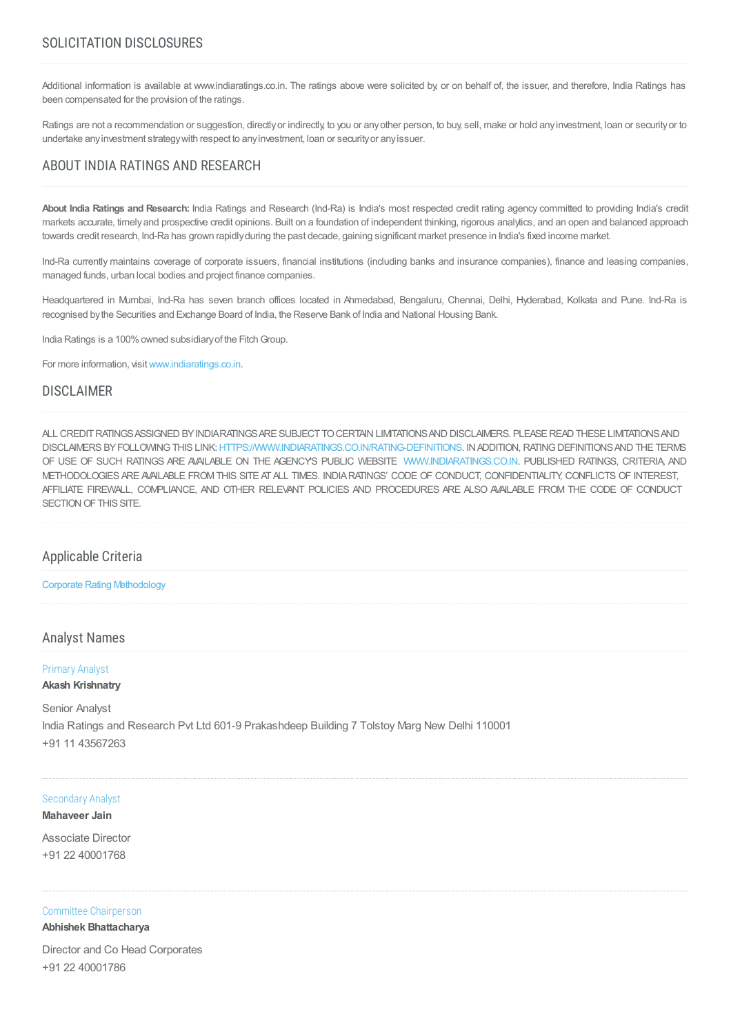## SOLICITATION DISCLOSURES

Additional information is available at www.indiaratings.co.in. The ratings above were solicited by, or on behalf of, the issuer, and therefore, India Ratings has been compensated for the provision of the ratings.

Ratings are not a recommendation or suggestion, directly or indirectly to you or any other person, to buy, sell, make or hold any investment, loan or security or to undertake anyinvestment strategywith respect to anyinvestment, loan or securityor anyissuer.

## ABOUT INDIA RATINGS AND RESEARCH

**About India Ratings and Research:** India Ratings and Research (Ind-Ra) is India's most respected credit rating agency committed to providing India's credit markets accurate, timelyand prospective credit opinions. Built on a foundation of independent thinking, rigorous analytics, and an open and balanced approach towards credit research, Ind-Ra has grown rapidlyduring the past decade, gaining significant market presence in India's fixed income market.

Ind-Ra currently maintains coverage of corporate issuers, financial institutions (including banks and insurance companies), finance and leasing companies, managed funds, urban local bodies and project finance companies.

Headquartered in Mumbai, Ind-Ra has seven branch offices located in Ahmedabad, Bengaluru, Chennai, Delhi, Hyderabad, Kolkata and Pune. Ind-Ra is recognised bythe Securities and Exchange Board of India, the Reserve Bank of India and National Housing Bank.

India Ratings is a 100% owned subsidiary of the Fitch Group.

For more information, visit [www.indiaratings.co.in.](http://www.indiaratings.co.in/)

## DISCLAIMER

ALL CREDITRATINGSASSIGNED BYINDIARATINGSARE SUBJECTTOCERTAIN LIMITATIONSAND DISCLAIMERS. PLEASEREAD THESE LIMITATIONSAND DISCLAIMERS BY FOLLOWING THIS LINK: [HTTPS://WWW.INDIARATINGS.CO.IN/RATING-DEFINITIONS.](https://www.indiaratings.co.in/rating-definitions) IN ADDITION, RATING DEFINITIONS AND THE TERMS OF USE OF SUCH RATINGS ARE AVAILABLE ON THE AGENCY'S PUBLIC WEBSITE [WWW.INDIARATINGS.CO.IN](http://www.indiaratings.co.in/). PUBLISHED RATINGS, CRITERIA, AND METHODOLOGIES ARE AVAILABLE FROMTHIS SITE ATALL TIMES. INDIARATINGS' CODE OF CONDUCT, CONFIDENTIALITY, CONFLICTS OF INTEREST, AFFILIATE FIREWALL, COMPLIANCE, AND OTHER RELEVANT POLICIES AND PROCEDURES ARE ALSO AVAILABLE FROM THE CODE OF CONDUCT SECTION OF THIS SITE.

#### Applicable Criteria

#### Corporate Rating [Methodology](https://indiaratings.co.in//Uploads/CriteriaReport/CorporateRatingMethodology.pdf)

#### Analyst Names

#### Primary Analyst

**Akash Krishnatry**

## Senior Analyst

India Ratings and Research Pvt Ltd 601-9 Prakashdeep Building 7 Tolstoy Marg New Delhi 110001 +91 11 43567263

#### Secondary Analyst

#### **Mahaveer Jain**

Associate Director +91 22 40001768

#### Committee Chairperson

#### **Abhishek Bhattacharya**

Director and Co Head Corporates +91 22 40001786